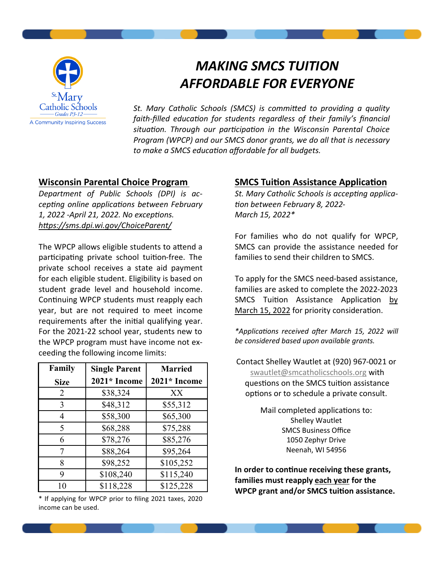

# *MAKING SMCS TUITION AFFORDABLE FOR EVERYONE*

*St. Mary Catholic Schools (SMCS) is committed to providing a quality faith-filled education for students regardless of their family's financial situation. Through our participation in the Wisconsin Parental Choice Program (WPCP) and our SMCS donor grants, we do all that is necessary to make a SMCS education affordable for all budgets.* 

## **Wisconsin Parental Choice Program**

*Department of Public Schools (DPI) is accepting online applications between February 1, 2022 -April 21, 2022. No exceptions. https://sms.dpi.wi.gov/ChoiceParent/*

The WPCP allows eligible students to attend a participating private school tuition-free. The private school receives a state aid payment for each eligible student. Eligibility is based on student grade level and household income. Continuing WPCP students must reapply each year, but are not required to meet income requirements after the initial qualifying year. For the 2021-22 school year, students new to the WPCP program must have income not exceeding the following income limits:

| Family      | <b>Single Parent</b> | <b>Married</b> |
|-------------|----------------------|----------------|
| <b>Size</b> | 2021* Income         | 2021* Income   |
| 2           | \$38,324             | XX             |
| 3           | \$48,312             | \$55,312       |
| 4           | \$58,300             | \$65,300       |
| 5           | \$68,288             | \$75,288       |
| 6           | \$78,276             | \$85,276       |
| 7           | \$88,264             | \$95,264       |
| 8           | \$98,252             | \$105,252      |
| 9           | \$108,240            | \$115,240      |
| 10          | \$118,228            | \$125,228      |

\* If applying for WPCP prior to filing 2021 taxes, 2020 income can be used.

## **SMCS Tuition Assistance Application**

*St. Mary Catholic Schools is accepting application between February 8, 2022- March 15, 2022\**

For families who do not qualify for WPCP, SMCS can provide the assistance needed for families to send their children to SMCS.

To apply for the SMCS need-based assistance, families are asked to complete the 2022-2023 SMCS Tuition Assistance Application by March 15, 2022 for priority consideration.

*\*Applications received after March 15, 2022 will be considered based upon available grants.* 

Contact Shelley Wautlet at (920) 967-0021 or [swautlet@smcatholicschools.org](mailto:swautlet@smcatholicschools.org) with questions on the SMCS tuition assistance options or to schedule a private consult.

> Mail completed applications to: Shelley Wautlet SMCS Business Office 1050 Zephyr Drive Neenah, WI 54956

**In order to continue receiving these grants, families must reapply each year for the WPCP grant and/or SMCS tuition assistance.**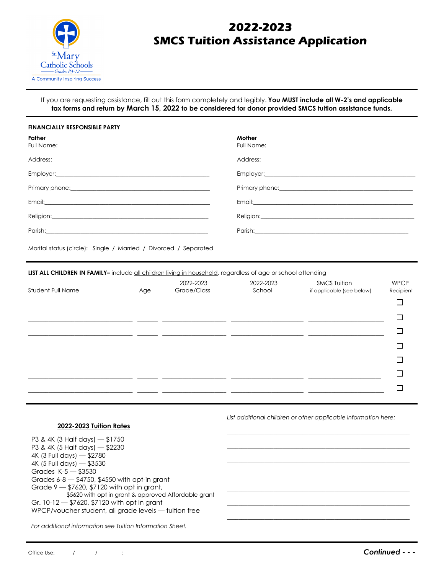

# **2022-2023 SMCS Tuition Assistance Application**

If you are requesting assistance, fill out this form completely and legibly. **You MUST include all W-2's and applicable tax forms and return by March 15, 2022 to be considered for donor provided SMCS tuition assistance funds.**

#### **FINANCIALLY RESPONSIBLE PARTY**

| Father<br>Full Name: <u>Communication of the Communication</u>                                                                                                                                                                 | Mother<br>Full Name: <u>Communication of the Communication</u>                                                                                                                                                                 |
|--------------------------------------------------------------------------------------------------------------------------------------------------------------------------------------------------------------------------------|--------------------------------------------------------------------------------------------------------------------------------------------------------------------------------------------------------------------------------|
| Address: 2008 and 2008 and 2008 and 2008 and 2008 and 2008 and 2008 and 2008 and 2008 and 2008 and 2008 and 20                                                                                                                 | Address:                                                                                                                                                                                                                       |
|                                                                                                                                                                                                                                | Employer: experience and a series of the series of the series of the series of the series of the series of the                                                                                                                 |
|                                                                                                                                                                                                                                |                                                                                                                                                                                                                                |
|                                                                                                                                                                                                                                |                                                                                                                                                                                                                                |
| Religion: experience and the contract of the contract of the contract of the contract of the contract of the contract of the contract of the contract of the contract of the contract of the contract of the contract of the c | Religion: Note and the contract of the contract of the contract of the contract of the contract of the contract of the contract of the contract of the contract of the contract of the contract of the contract of the contrac |
|                                                                                                                                                                                                                                |                                                                                                                                                                                                                                |
|                                                                                                                                                                                                                                |                                                                                                                                                                                                                                |

Marital status (circle): Single / Married / Divorced / Separated

**LIST ALL CHILDREN IN FAMILY**<sup>-</sup> include all children living in household, regardless of age or school attending

| Student Full Name | Age | 2022-2023<br>Grade/Class | 2022-2023<br>School | <b>SMCS Tuition</b><br>if applicable (see below) | <b>WPCP</b><br>Recipient |
|-------------------|-----|--------------------------|---------------------|--------------------------------------------------|--------------------------|
|                   |     |                          |                     |                                                  |                          |
|                   |     |                          |                     |                                                  | ┐                        |
|                   |     |                          |                     |                                                  |                          |
|                   |     |                          |                     |                                                  |                          |
|                   |     |                          |                     |                                                  |                          |
|                   |     |                          |                     |                                                  |                          |
|                   |     |                          |                     |                                                  |                          |
|                   |     |                          |                     |                                                  |                          |

#### **2022-2023 Tuition Rates**

P3 & 4K (3 Half days) — \$1750 P3 & 4K (5 Half days) — \$2230 4K (3 Full days) — \$2780 4K (5 Full days) — \$3530 Grades K-5 — \$3530 Grades 6-8 — \$4750, \$4550 with opt-in grant Grade 9 — \$7620, \$7120 with opt in grant, \$5620 with opt in grant & approved Affordable grant Gr. 10-12 — \$7620, \$7120 with opt in grant WPCP/voucher student, all grade levels — tuition free

*For additional information see Tuition Information Sheet.*

*List additional children or other applicable information here:*

\_\_\_\_\_\_\_\_\_\_\_\_\_\_\_\_\_\_\_\_\_\_\_\_\_\_\_\_\_\_\_\_\_\_\_\_\_\_\_\_\_\_\_\_\_\_\_\_\_\_\_\_\_\_\_\_\_\_\_\_\_\_\_  $\_$  ,  $\_$  ,  $\_$  ,  $\_$  ,  $\_$  ,  $\_$  ,  $\_$  ,  $\_$  ,  $\_$  ,  $\_$  ,  $\_$  ,  $\_$  ,  $\_$  ,  $\_$  ,  $\_$  ,  $\_$  ,  $\_$  ,  $\_$  ,  $\_$ 

 $\_$  ,  $\_$  ,  $\_$  ,  $\_$  ,  $\_$  ,  $\_$  ,  $\_$  ,  $\_$  ,  $\_$  ,  $\_$  ,  $\_$  ,  $\_$  ,  $\_$  ,  $\_$  ,  $\_$  ,  $\_$  ,  $\_$  ,  $\_$  ,  $\_$  $\_$  ,  $\_$  ,  $\_$  ,  $\_$  ,  $\_$  ,  $\_$  ,  $\_$  ,  $\_$  ,  $\_$  ,  $\_$  ,  $\_$  ,  $\_$  ,  $\_$  ,  $\_$  ,  $\_$  ,  $\_$  ,  $\_$  ,  $\_$  ,  $\_$ \_\_\_\_\_\_\_\_\_\_\_\_\_\_\_\_\_\_\_\_\_\_\_\_\_\_\_\_\_\_\_\_\_\_\_\_\_\_\_\_\_\_\_\_\_\_\_\_\_\_\_\_\_\_\_\_\_\_\_\_\_\_\_